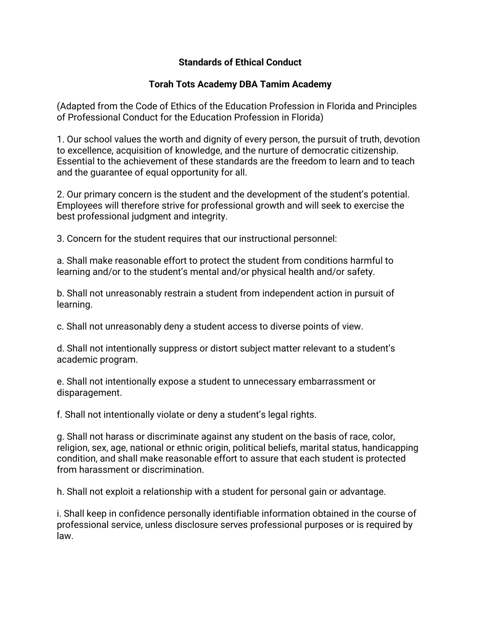## **Standards of Ethical Conduct**

## **Torah Tots Academy DBA Tamim Academy**

(Adapted from the Code of Ethics of the Education Profession in Florida and Principles of Professional Conduct for the Education Profession in Florida)

1. Our school values the worth and dignity of every person, the pursuit of truth, devotion to excellence, acquisition of knowledge, and the nurture of democratic citizenship. Essential to the achievement of these standards are the freedom to learn and to teach and the guarantee of equal opportunity for all.

2. Our primary concern is the student and the development of the student's potential. Employees will therefore strive for professional growth and will seek to exercise the best professional judgment and integrity.

3. Concern for the student requires that our instructional personnel:

a. Shall make reasonable effort to protect the student from conditions harmful to learning and/or to the student's mental and/or physical health and/or safety.

b. Shall not unreasonably restrain a student from independent action in pursuit of learning.

c. Shall not unreasonably deny a student access to diverse points of view.

d. Shall not intentionally suppress or distort subject matter relevant to a student's academic program.

e. Shall not intentionally expose a student to unnecessary embarrassment or disparagement.

f. Shall not intentionally violate or deny a student's legal rights.

g. Shall not harass or discriminate against any student on the basis of race, color, religion, sex, age, national or ethnic origin, political beliefs, marital status, handicapping condition, and shall make reasonable effort to assure that each student is protected from harassment or discrimination.

h. Shall not exploit a relationship with a student for personal gain or advantage.

i. Shall keep in confidence personally identifiable information obtained in the course of professional service, unless disclosure serves professional purposes or is required by law.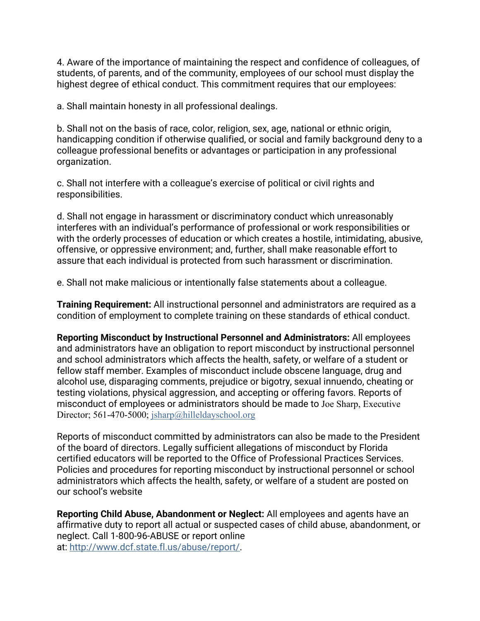4. Aware of the importance of maintaining the respect and confidence of colleagues, of students, of parents, and of the community, employees of our school must display the highest degree of ethical conduct. This commitment requires that our employees:

a. Shall maintain honesty in all professional dealings.

b. Shall not on the basis of race, color, religion, sex, age, national or ethnic origin, handicapping condition if otherwise qualified, or social and family background deny to a colleague professional benefits or advantages or participation in any professional organization.

c. Shall not interfere with a colleague's exercise of political or civil rights and responsibilities.

d. Shall not engage in harassment or discriminatory conduct which unreasonably interferes with an individual's performance of professional or work responsibilities or with the orderly processes of education or which creates a hostile, intimidating, abusive, offensive, or oppressive environment; and, further, shall make reasonable effort to assure that each individual is protected from such harassment or discrimination.

e. Shall not make malicious or intentionally false statements about a colleague.

**Training Requirement:** All instructional personnel and administrators are required as a condition of employment to complete training on these standards of ethical conduct.

**Reporting Misconduct by Instructional Personnel and Administrators:** All employees and administrators have an obligation to report misconduct by instructional personnel and school administrators which affects the health, safety, or welfare of a student or fellow staff member. Examples of misconduct include obscene language, drug and alcohol use, disparaging comments, prejudice or bigotry, sexual innuendo, cheating or testing violations, physical aggression, and accepting or offering favors. Reports of misconduct of employees or administrators should be made to Joe Sharp, Executive Director; 561-470-5000; jsharp@hilleldayschool.org

Reports of misconduct committed by administrators can also be made to the President of the board of directors. Legally sufficient allegations of misconduct by Florida certified educators will be reported to the Office of Professional Practices Services. Policies and procedures for reporting misconduct by instructional personnel or school administrators which affects the health, safety, or welfare of a student are posted on our school's website

**Reporting Child Abuse, Abandonment or Neglect:** All employees and agents have an affirmative duty to report all actual or suspected cases of child abuse, abandonment, or neglect. Call 1-800-96-ABUSE or report online at: http://www.dcf.state.fl.us/abuse/report/.